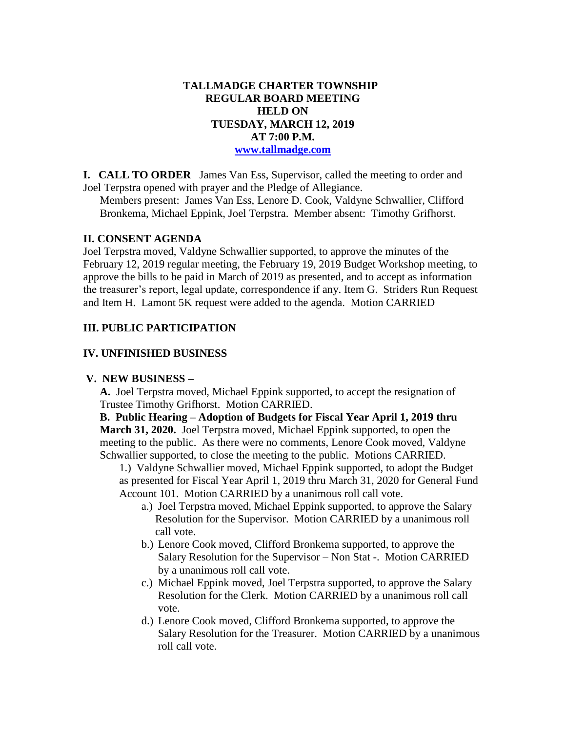## **TALLMADGE CHARTER TOWNSHIP REGULAR BOARD MEETING HELD ON TUESDAY, MARCH 12, 2019 AT 7:00 P.M. [www.tallmadge.com](http://www.tallmadge.com/)**

**I. CALL TO ORDER** James Van Ess, Supervisor, called the meeting to order and Joel Terpstra opened with prayer and the Pledge of Allegiance.

Members present: James Van Ess, Lenore D. Cook, Valdyne Schwallier, Clifford Bronkema, Michael Eppink, Joel Terpstra. Member absent: Timothy Grifhorst.

### **II. CONSENT AGENDA**

Joel Terpstra moved, Valdyne Schwallier supported, to approve the minutes of the February 12, 2019 regular meeting, the February 19, 2019 Budget Workshop meeting, to approve the bills to be paid in March of 2019 as presented, and to accept as information the treasurer's report, legal update, correspondence if any. Item G. Striders Run Request and Item H. Lamont 5K request were added to the agenda. Motion CARRIED

## **III. PUBLIC PARTICIPATION**

## **IV. UNFINISHED BUSINESS**

#### **V. NEW BUSINESS –**

 **A.** Joel Terpstra moved, Michael Eppink supported, to accept the resignation of Trustee Timothy Grifhorst. Motion CARRIED.

 **B. Public Hearing – Adoption of Budgets for Fiscal Year April 1, 2019 thru March 31, 2020.** Joel Terpstra moved, Michael Eppink supported, to open the meeting to the public. As there were no comments, Lenore Cook moved, Valdyne Schwallier supported, to close the meeting to the public. Motions CARRIED.

1.) Valdyne Schwallier moved, Michael Eppink supported, to adopt the Budget as presented for Fiscal Year April 1, 2019 thru March 31, 2020 for General Fund Account 101. Motion CARRIED by a unanimous roll call vote.

- a.) Joel Terpstra moved, Michael Eppink supported, to approve the Salary Resolution for the Supervisor. Motion CARRIED by a unanimous roll call vote.
- b.) Lenore Cook moved, Clifford Bronkema supported, to approve the Salary Resolution for the Supervisor – Non Stat -. Motion CARRIED by a unanimous roll call vote.
- c.) Michael Eppink moved, Joel Terpstra supported, to approve the Salary Resolution for the Clerk. Motion CARRIED by a unanimous roll call vote.
- d.) Lenore Cook moved, Clifford Bronkema supported, to approve the Salary Resolution for the Treasurer. Motion CARRIED by a unanimous roll call vote.